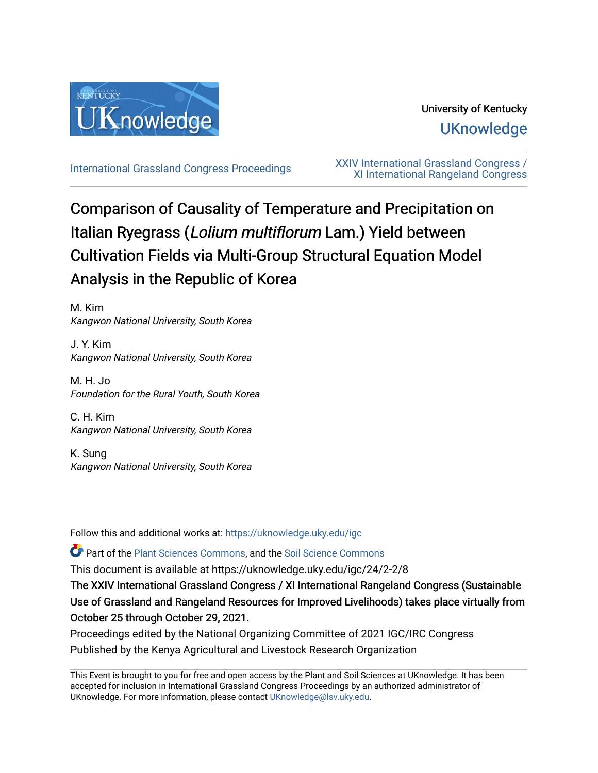

# University of Kentucky **UKnowledge**

[International Grassland Congress Proceedings](https://uknowledge.uky.edu/igc) [XXIV International Grassland Congress /](https://uknowledge.uky.edu/igc/24)  [XI International Rangeland Congress](https://uknowledge.uky.edu/igc/24) 

# Comparison of Causality of Temperature and Precipitation on Italian Ryegrass (Lolium multiflorum Lam.) Yield between Cultivation Fields via Multi-Group Structural Equation Model Analysis in the Republic of Korea

M. Kim Kangwon National University, South Korea

J. Y. Kim Kangwon National University, South Korea

M. H. Jo Foundation for the Rural Youth, South Korea

C. H. Kim Kangwon National University, South Korea

K. Sung Kangwon National University, South Korea

Follow this and additional works at: [https://uknowledge.uky.edu/igc](https://uknowledge.uky.edu/igc?utm_source=uknowledge.uky.edu%2Figc%2F24%2F2-2%2F8&utm_medium=PDF&utm_campaign=PDFCoverPages) 

Part of the [Plant Sciences Commons](http://network.bepress.com/hgg/discipline/102?utm_source=uknowledge.uky.edu%2Figc%2F24%2F2-2%2F8&utm_medium=PDF&utm_campaign=PDFCoverPages), and the [Soil Science Commons](http://network.bepress.com/hgg/discipline/163?utm_source=uknowledge.uky.edu%2Figc%2F24%2F2-2%2F8&utm_medium=PDF&utm_campaign=PDFCoverPages) 

This document is available at https://uknowledge.uky.edu/igc/24/2-2/8

The XXIV International Grassland Congress / XI International Rangeland Congress (Sustainable Use of Grassland and Rangeland Resources for Improved Livelihoods) takes place virtually from October 25 through October 29, 2021.

Proceedings edited by the National Organizing Committee of 2021 IGC/IRC Congress Published by the Kenya Agricultural and Livestock Research Organization

This Event is brought to you for free and open access by the Plant and Soil Sciences at UKnowledge. It has been accepted for inclusion in International Grassland Congress Proceedings by an authorized administrator of UKnowledge. For more information, please contact [UKnowledge@lsv.uky.edu](mailto:UKnowledge@lsv.uky.edu).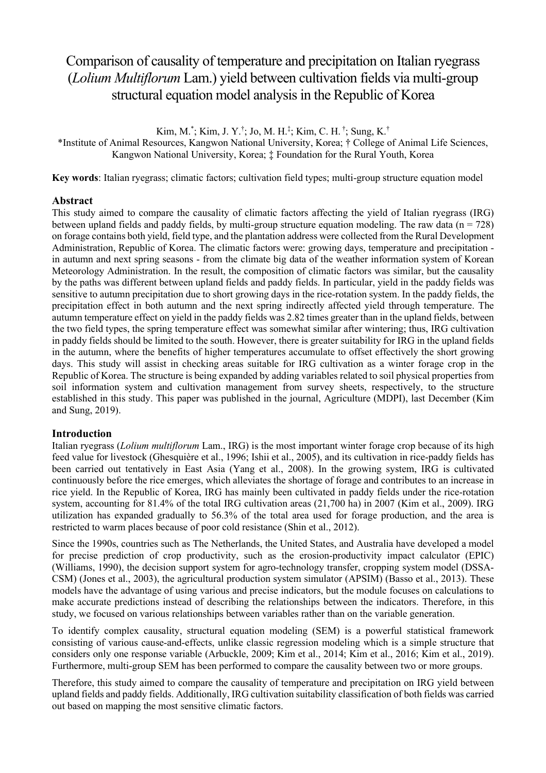# Comparison of causality of temperature and precipitation on Italian ryegrass (*Lolium Multiflorum* Lam.) yield between cultivation fields via multi-group structural equation model analysis in the Republic of Korea

Kim, M.\* ; Kim, J. Y.† ; Jo, M. H.‡ ; Kim, C. H. † ; Sung, K.†

\*Institute of Animal Resources, Kangwon National University, Korea; † College of Animal Life Sciences, Kangwon National University, Korea; ‡ Foundation for the Rural Youth, Korea

**Key words**: Italian ryegrass; climatic factors; cultivation field types; multi-group structure equation model

## **Abstract**

This study aimed to compare the causality of climatic factors affecting the yield of Italian ryegrass (IRG) between upland fields and paddy fields, by multi-group structure equation modeling. The raw data ( $n = 728$ ) on forage contains both yield, field type, and the plantation address were collected from the Rural Development Administration, Republic of Korea. The climatic factors were: growing days, temperature and precipitation in autumn and next spring seasons - from the climate big data of the weather information system of Korean Meteorology Administration. In the result, the composition of climatic factors was similar, but the causality by the paths was different between upland fields and paddy fields. In particular, yield in the paddy fields was sensitive to autumn precipitation due to short growing days in the rice-rotation system. In the paddy fields, the precipitation effect in both autumn and the next spring indirectly affected yield through temperature. The autumn temperature effect on yield in the paddy fields was 2.82 times greater than in the upland fields, between the two field types, the spring temperature effect was somewhat similar after wintering; thus, IRG cultivation in paddy fields should be limited to the south. However, there is greater suitability for IRG in the upland fields in the autumn, where the benefits of higher temperatures accumulate to offset effectively the short growing days. This study will assist in checking areas suitable for IRG cultivation as a winter forage crop in the Republic of Korea. The structure is being expanded by adding variables related to soil physical properties from soil information system and cultivation management from survey sheets, respectively, to the structure established in this study. This paper was published in the journal, Agriculture (MDPI), last December (Kim and Sung, 2019).

## **Introduction**

Italian ryegrass (*Lolium multiflorum* Lam., IRG) is the most important winter forage crop because of its high feed value for livestock (Ghesquière et al., 1996; Ishii et al., 2005), and its cultivation in rice-paddy fields has been carried out tentatively in East Asia (Yang et al., 2008). In the growing system, IRG is cultivated continuously before the rice emerges, which alleviates the shortage of forage and contributes to an increase in rice yield. In the Republic of Korea, IRG has mainly been cultivated in paddy fields under the rice-rotation system, accounting for 81.4% of the total IRG cultivation areas (21,700 ha) in 2007 (Kim et al., 2009). IRG utilization has expanded gradually to 56.3% of the total area used for forage production, and the area is restricted to warm places because of poor cold resistance (Shin et al., 2012).

Since the 1990s, countries such as The Netherlands, the United States, and Australia have developed a model for precise prediction of crop productivity, such as the erosion-productivity impact calculator (EPIC) (Williams, 1990), the decision support system for agro-technology transfer, cropping system model (DSSA-CSM) (Jones et al., 2003), the agricultural production system simulator (APSIM) (Basso et al., 2013). These models have the advantage of using various and precise indicators, but the module focuses on calculations to make accurate predictions instead of describing the relationships between the indicators. Therefore, in this study, we focused on various relationships between variables rather than on the variable generation.

To identify complex causality, structural equation modeling (SEM) is a powerful statistical framework consisting of various cause-and-effects, unlike classic regression modeling which is a simple structure that considers only one response variable (Arbuckle, 2009; Kim et al., 2014; Kim et al., 2016; Kim et al., 2019). Furthermore, multi-group SEM has been performed to compare the causality between two or more groups.

Therefore, this study aimed to compare the causality of temperature and precipitation on IRG yield between upland fields and paddy fields. Additionally, IRG cultivation suitability classification of both fields was carried out based on mapping the most sensitive climatic factors.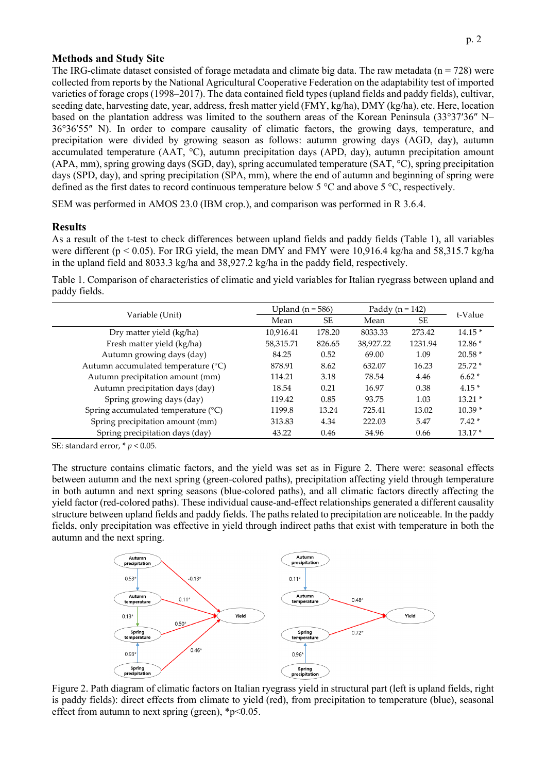### **Methods and Study Site**

The IRG-climate dataset consisted of forage metadata and climate big data. The raw metadata ( $n = 728$ ) were collected from reports by the National Agricultural Cooperative Federation on the adaptability test of imported varieties of forage crops (1998–2017). The data contained field types (upland fields and paddy fields), cultivar, seeding date, harvesting date, year, address, fresh matter yield (FMY, kg/ha), DMY (kg/ha), etc. Here, location based on the plantation address was limited to the southern areas of the Korean Peninsula (33°37ʹ36″ N– 36°36ʹ55″ N). In order to compare causality of climatic factors, the growing days, temperature, and precipitation were divided by growing season as follows: autumn growing days (AGD, day), autumn accumulated temperature (AAT, °C), autumn precipitation days (APD, day), autumn precipitation amount (APA, mm), spring growing days (SGD, day), spring accumulated temperature (SAT, °C), spring precipitation days (SPD, day), and spring precipitation (SPA, mm), where the end of autumn and beginning of spring were defined as the first dates to record continuous temperature below 5 °C and above 5 °C, respectively.

SEM was performed in AMOS 23.0 (IBM crop.), and comparison was performed in R 3.6.4.

### **Results**

As a result of the t-test to check differences between upland fields and paddy fields (Table 1), all variables were different (p < 0.05). For IRG yield, the mean DMY and FMY were 10,916.4 kg/ha and 58,315.7 kg/ha in the upland field and 8033.3 kg/ha and 38,927.2 kg/ha in the paddy field, respectively.

Table 1. Comparison of characteristics of climatic and yield variables for Italian ryegrass between upland and paddy fields.

| Variable (Unit)                     | Upland ( $n = 586$ ) |           | Paddy ( $n = 142$ ) |           |          |
|-------------------------------------|----------------------|-----------|---------------------|-----------|----------|
|                                     | Mean                 | <b>SE</b> | Mean                | <b>SE</b> | t-Value  |
| Dry matter yield (kg/ha)            | 10.916.41            | 178.20    | 8033.33             | 273.42    | $14.15*$ |
| Fresh matter yield (kg/ha)          | 58,315.71            | 826.65    | 38,927.22           | 1231.94   | $12.86*$ |
| Autumn growing days (day)           | 84.25                | 0.52      | 69.00               | 1.09      | $20.58*$ |
| Autumn accumulated temperature (°C) | 878.91               | 8.62      | 632.07              | 16.23     | $25.72*$ |
| Autumn precipitation amount (mm)    | 114.21               | 3.18      | 78.54               | 4.46      | $6.62*$  |
| Autumn precipitation days (day)     | 18.54                | 0.21      | 16.97               | 0.38      | $4.15*$  |
| Spring growing days (day)           | 119.42               | 0.85      | 93.75               | 1.03      | $13.21*$ |
| Spring accumulated temperature (°C) | 1199.8               | 13.24     | 725.41              | 13.02     | $10.39*$ |
| Spring precipitation amount (mm)    | 313.83               | 4.34      | 222.03              | 5.47      | $7.42*$  |
| Spring precipitation days (day)     | 43.22                | 0.46      | 34.96               | 0.66      | $13.17*$ |

SE: standard error, \* *p* < 0.05.

The structure contains climatic factors, and the yield was set as in Figure 2. There were: seasonal effects between autumn and the next spring (green-colored paths), precipitation affecting yield through temperature in both autumn and next spring seasons (blue-colored paths), and all climatic factors directly affecting the yield factor (red-colored paths). These individual cause-and-effect relationships generated a different causality structure between upland fields and paddy fields. The paths related to precipitation are noticeable. In the paddy fields, only precipitation was effective in yield through indirect paths that exist with temperature in both the autumn and the next spring.



Figure 2. Path diagram of climatic factors on Italian ryegrass yield in structural part (left is upland fields, right is paddy fields): direct effects from climate to yield (red), from precipitation to temperature (blue), seasonal effect from autumn to next spring (green),  $\frac{1}{2}p < 0.05$ .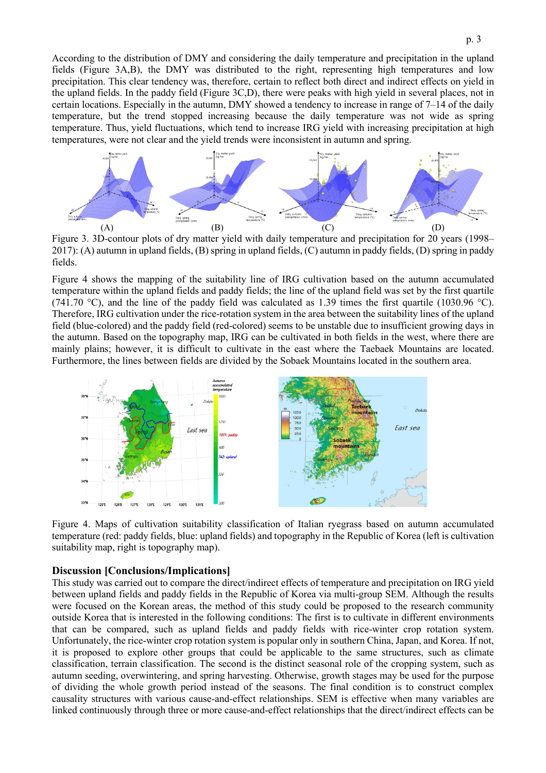According to the distribution of DMY and considering the daily temperature and precipitation in the upland fields (Figure 3A,B), the DMY was distributed to the right, representing high temperatures and low precipitation. This clear tendency was, therefore, certain to reflect both direct and indirect effects on yield in the upland fields. In the paddy field (Figure 3C,D), there were peaks with high yield in several places, not in certain locations. Especially in the autumn, DMY showed a tendency to increase in range of 7–14 of the daily temperature, but the trend stopped increasing because the daily temperature was not wide as spring temperature. Thus, yield fluctuations, which tend to increase IRG yield with increasing precipitation at high temperatures, were not clear and the yield trends were inconsistent in autumn and spring.



Figure 3. 3D-contour plots of dry matter yield with daily temperature and precipitation for 20 years (1998– 2017): (A) autumn in upland fields, (B) spring in upland fields, (C) autumn in paddy fields, (D) spring in paddy fields.

Figure 4 shows the mapping of the suitability line of IRG cultivation based on the autumn accumulated temperature within the upland fields and paddy fields; the line of the upland field was set by the first quartile (741.70 °C), and the line of the paddy field was calculated as 1.39 times the first quartile (1030.96 °C). Therefore, IRG cultivation under the rice-rotation system in the area between the suitability lines of the upland field (blue-colored) and the paddy field (red-colored) seems to be unstable due to insufficient growing days in the autumn. Based on the topography map, IRG can be cultivated in both fields in the west, where there are mainly plains; however, it is difficult to cultivate in the east where the Taebaek Mountains are located. Furthermore, the lines between fields are divided by the Sobaek Mountains located in the southern area.



Figure 4. Maps of cultivation suitability classification of Italian ryegrass based on autumn accumulated temperature (red: paddy fields, blue: upland fields) and topography in the Republic of Korea (left is cultivation suitability map, right is topography map).

#### **Discussion [Conclusions/Implications]**

This study was carried out to compare the direct/indirect effects of temperature and precipitation on IRG yield between upland fields and paddy fields in the Republic of Korea via multi-group SEM. Although the results were focused on the Korean areas, the method of this study could be proposed to the research community outside Korea that is interested in the following conditions: The first is to cultivate in different environments that can be compared, such as upland fields and paddy fields with rice-winter crop rotation system. Unfortunately, the rice-winter crop rotation system is popular only in southern China, Japan, and Korea. If not, it is proposed to explore other groups that could be applicable to the same structures, such as climate classification, terrain classification. The second is the distinct seasonal role of the cropping system, such as autumn seeding, overwintering, and spring harvesting. Otherwise, growth stages may be used for the purpose of dividing the whole growth period instead of the seasons. The final condition is to construct complex causality structures with various cause-and-effect relationships. SEM is effective when many variables are linked continuously through three or more cause-and-effect relationships that the direct/indirect effects can be